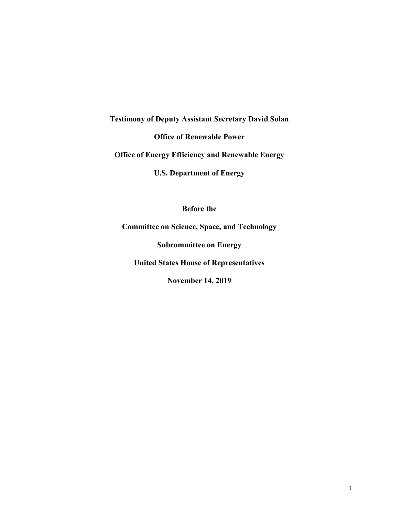**Testimony of Deputy Assistant Secretary David Solan**

**Office of Renewable Power**

**Office of Energy Efficiency and Renewable Energy**

**U.S. Department of Energy**

**Before the** 

**Committee on Science, Space, and Technology**

**Subcommittee on Energy**

**United States House of Representatives**

**November 14, 2019**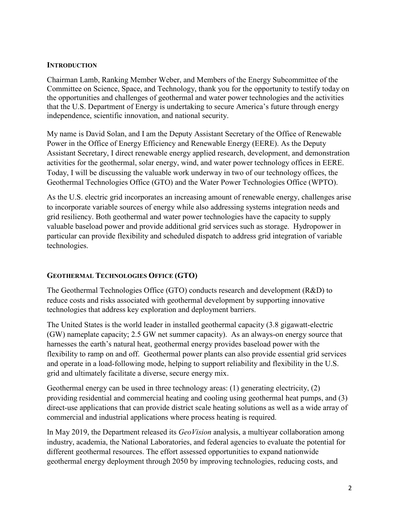## **INTRODUCTION**

Chairman Lamb, Ranking Member Weber, and Members of the Energy Subcommittee of the Committee on Science, Space, and Technology, thank you for the opportunity to testify today on the opportunities and challenges of geothermal and water power technologies and the activities that the U.S. Department of Energy is undertaking to secure America's future through energy independence, scientific innovation, and national security.

My name is David Solan, and I am the Deputy Assistant Secretary of the Office of Renewable Power in the Office of Energy Efficiency and Renewable Energy (EERE). As the Deputy Assistant Secretary, I direct renewable energy applied research, development, and demonstration activities for the geothermal, solar energy, wind, and water power technology offices in EERE. Today, I will be discussing the valuable work underway in two of our technology offices, the Geothermal Technologies Office (GTO) and the Water Power Technologies Office (WPTO).

As the U.S. electric grid incorporates an increasing amount of renewable energy, challenges arise to incorporate variable sources of energy while also addressing systems integration needs and grid resiliency. Both geothermal and water power technologies have the capacity to supply valuable baseload power and provide additional grid services such as storage. Hydropower in particular can provide flexibility and scheduled dispatch to address grid integration of variable technologies.

## **GEOTHERMAL TECHNOLOGIES OFFICE (GTO)**

The Geothermal Technologies Office (GTO) conducts research and development (R&D) to reduce costs and risks associated with geothermal development by supporting innovative technologies that address key exploration and deployment barriers.

The United States is the world leader in installed geothermal capacity (3.8 gigawatt-electric (GW) nameplate capacity; 2.5 GW net summer capacity). As an always-on energy source that harnesses the earth's natural heat, geothermal energy provides baseload power with the flexibility to ramp on and off. Geothermal power plants can also provide essential grid services and operate in a load-following mode, helping to support reliability and flexibility in the U.S. grid and ultimately facilitate a diverse, secure energy mix.

Geothermal energy can be used in three technology areas: (1) generating electricity, (2) providing residential and commercial heating and cooling using geothermal heat pumps, and (3) direct-use applications that can provide district scale heating solutions as well as a wide array of commercial and industrial applications where process heating is required.

In May 2019, the Department released its *GeoVision* analysis, a multiyear collaboration among industry, academia, the National Laboratories, and federal agencies to evaluate the potential for different geothermal resources. The effort assessed opportunities to expand nationwide geothermal energy deployment through 2050 by improving technologies, reducing costs, and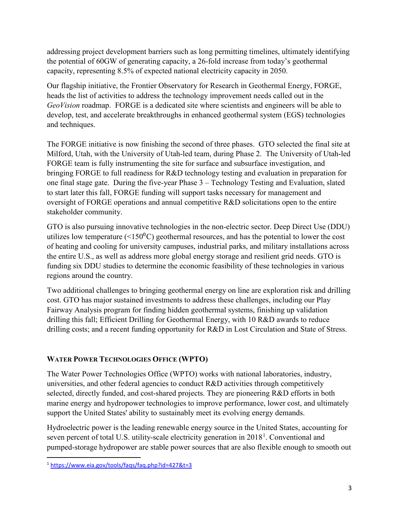addressing project development barriers such as long permitting timelines, ultimately identifying the potential of 60GW of generating capacity, a 26-fold increase from today's geothermal capacity, representing 8.5% of expected national electricity capacity in 2050.

Our flagship initiative, the Frontier Observatory for Research in Geothermal Energy, FORGE, heads the list of activities to address the technology improvement needs called out in the *GeoVision* roadmap. FORGE is a dedicated site where scientists and engineers will be able to develop, test, and accelerate breakthroughs in enhanced geothermal system (EGS) technologies and techniques.

The FORGE initiative is now finishing the second of three phases. GTO selected the final site at Milford, Utah, with the University of Utah-led team, during Phase 2. The University of Utah-led FORGE team is fully instrumenting the site for surface and subsurface investigation, and bringing FORGE to full readiness for R&D technology testing and evaluation in preparation for one final stage gate. During the five-year Phase 3 – Technology Testing and Evaluation, slated to start later this fall, FORGE funding will support tasks necessary for management and oversight of FORGE operations and annual competitive R&D solicitations open to the entire stakeholder community.

GTO is also pursuing innovative technologies in the non-electric sector. Deep Direct Use (DDU) utilizes low temperature  $(\leq 150^{\circ}C)$  geothermal resources, and has the potential to lower the cost of heating and cooling for university campuses, industrial parks, and military installations across the entire U.S., as well as address more global energy storage and resilient grid needs. GTO is funding six DDU studies to determine the economic feasibility of these technologies in various regions around the country.

Two additional challenges to bringing geothermal energy on line are exploration risk and drilling cost. GTO has major sustained investments to address these challenges, including our Play Fairway Analysis program for finding hidden geothermal systems, finishing up validation drilling this fall; Efficient Drilling for Geothermal Energy, with 10 R&D awards to reduce drilling costs; and a recent funding opportunity for R&D in Lost Circulation and State of Stress.

## **WATER POWER TECHNOLOGIES OFFICE (WPTO)**

The Water Power Technologies Office (WPTO) works with national laboratories, industry, universities, and other federal agencies to conduct R&D activities through competitively selected, directly funded, and cost-shared projects. They are pioneering R&D efforts in both marine energy and hydropower technologies to improve performance, lower cost, and ultimately support the United States' ability to sustainably meet its evolving energy demands.

Hydroelectric power is the leading renewable energy source in the United States, accounting for seven percent of total U.S. utility-scale electricity generation in 20[1](#page-2-0)8<sup>1</sup>. Conventional and pumped-storage hydropower are stable power sources that are also flexible enough to smooth out

<span id="page-2-0"></span> <sup>1</sup> <https://www.eia.gov/tools/faqs/faq.php?id=427&t=3>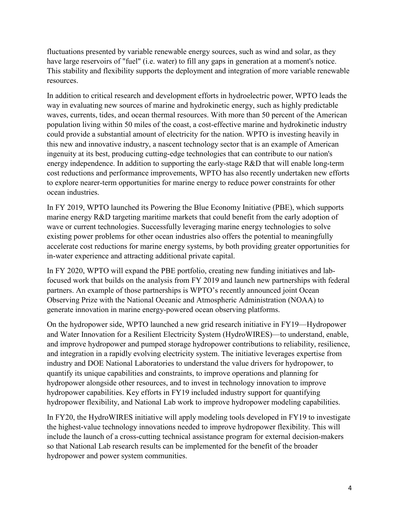fluctuations presented by variable renewable energy sources, such as wind and solar, as they have large reservoirs of "fuel" (i.e. water) to fill any gaps in generation at a moment's notice. This stability and flexibility supports the deployment and integration of more variable renewable resources.

In addition to critical research and development efforts in hydroelectric power, WPTO leads the way in evaluating new sources of marine and hydrokinetic energy, such as highly predictable waves, currents, tides, and ocean thermal resources. With more than 50 percent of the American population living within 50 miles of the coast, a cost-effective marine and hydrokinetic industry could provide a substantial amount of electricity for the nation. WPTO is investing heavily in this new and innovative industry, a nascent technology sector that is an example of American ingenuity at its best, producing cutting-edge technologies that can contribute to our nation's energy independence. In addition to supporting the early-stage R&D that will enable long-term cost reductions and performance improvements, WPTO has also recently undertaken new efforts to explore nearer-term opportunities for marine energy to reduce power constraints for other ocean industries.

In FY 2019, WPTO launched its Powering the Blue Economy Initiative (PBE), which supports marine energy R&D targeting maritime markets that could benefit from the early adoption of wave or current technologies. Successfully leveraging marine energy technologies to solve existing power problems for other ocean industries also offers the potential to meaningfully accelerate cost reductions for marine energy systems, by both providing greater opportunities for in-water experience and attracting additional private capital.

In FY 2020, WPTO will expand the PBE portfolio, creating new funding initiatives and labfocused work that builds on the analysis from FY 2019 and launch new partnerships with federal partners. An example of those partnerships is WPTO's recently announced joint Ocean Observing Prize with the National Oceanic and Atmospheric Administration (NOAA) to generate innovation in marine energy-powered ocean observing platforms.

On the hydropower side, WPTO launched a new grid research initiative in FY19—Hydropower and Water Innovation for a Resilient Electricity System (HydroWIRES)—to understand, enable, and improve hydropower and pumped storage hydropower contributions to reliability, resilience, and integration in a rapidly evolving electricity system. The initiative leverages expertise from industry and DOE National Laboratories to understand the value drivers for hydropower, to quantify its unique capabilities and constraints, to improve operations and planning for hydropower alongside other resources, and to invest in technology innovation to improve hydropower capabilities. Key efforts in FY19 included industry support for quantifying hydropower flexibility, and National Lab work to improve hydropower modeling capabilities.

In FY20, the HydroWIRES initiative will apply modeling tools developed in FY19 to investigate the highest-value technology innovations needed to improve hydropower flexibility. This will include the launch of a cross-cutting technical assistance program for external decision-makers so that National Lab research results can be implemented for the benefit of the broader hydropower and power system communities.